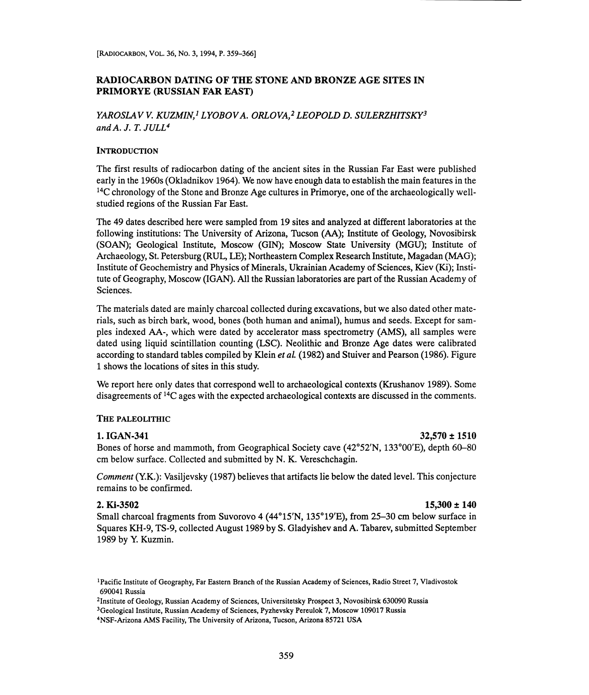### RADIOCARBON DATING OF THE STONE AND BRONZE AGE SITES IN PRIMORYE (RUSSIAN FAR EAST)

## YAROSLAV V. KUZMIN,<sup>1</sup> LYOBOV A. ORLOVA,<sup>2</sup> LEOPOLD D. SULERZHITSKY<sup>3</sup> and  $A$ . J. T. JULL<sup>4</sup>

### **INTRODUCTION**

The first results of radiocarbon dating of the ancient sites in the Russian Far East were published early in the 1960s (Okladnikov 1964). We now have enough data to establish the main features in the <sup>14</sup>C chronology of the Stone and Bronze Age cultures in Primorye, one of the archaeologically wellstudied regions of the Russian Far East.

The 49 dates described here were sampled from 19 sites and analyzed at different laboratories at the following institutions: The University of Arizona, Tucson (AA); Institute of Geology, Novosibirsk (SOAN); Geological Institute, Moscow (GIN); Moscow State University (MGU); Institute of Archaeology, St. Petersburg (RUL, LE); Northeastern Complex Research Institute, Magadan (MAG); Institute of Geochemistry and Physics of Minerals, Ukrainian Academy of Sciences, Kiev (Ki); Institute of Geography, Moscow (IGAN). All the Russian laboratories are part of the Russian Academy of Sciences.

The materials dated are mainly charcoal collected during excavations, but we also dated other materials, such as birch bark, wood, bones (both human and animal), humus and seeds. Except for samples indexed AA-, which were dated by accelerator mass spectrometry (AMS), all samples were dated using liquid scintillation counting (LSC). Neolithic and Bronze Age dates were calibrated according to standard tables compiled by Klein *et al.* (1982) and Stuiver and Pearson (1986). Figure <sup>1</sup>shows the locations of sites in this study.

We report here only dates that correspond well to archaeological contexts (Krushanov 1989). Some disagreements of 14C ages with the expected archaeological contexts are discussed in the comments.

### THE PALEOLITHIC

### 1. IGAN-341  $32.570 \pm 1510$

Bones of horse and mammoth, from Geographical Society cave (42°52'N, 133°00'E), depth 60-80 cm below surface. Collected and submitted by N. K. Vereschchagin.

Comment (Y.K.): Vasiljevsky (1987) believes that artifacts lie below the dated level. This conjecture remains to be confirmed.

### 2. Ki-3502 15,300 ± 140

Small charcoal fragments from Suvorovo 4 (44°15'N, 135°19'E), from 25-30 cm below surface in Squares KH-9, TS-9, collected August 1989 by S. Gladyishev and A. Tabarev, submitted September 1989 by Y. Kuzmin.

<sup>1</sup>Pacific Institute of Geography, Far Eastern Branch of the Russian Academy of Sciences, Radio Street 7, Vladivostok 690041 Russia

<sup>2</sup>Institute of Geology, Russian Academy of Sciences, Universitetsky Prospect 3, Novosibirsk 630090 Russia

<sup>3</sup>Geological Institute, Russian Academy of Sciences, Pyzhevsky Pereulok 7, Moscow 109017 Russia

<sup>4</sup>NSF-Arizona AMS Facility, The University of Arizona, Tucson, Arizona 85721 USA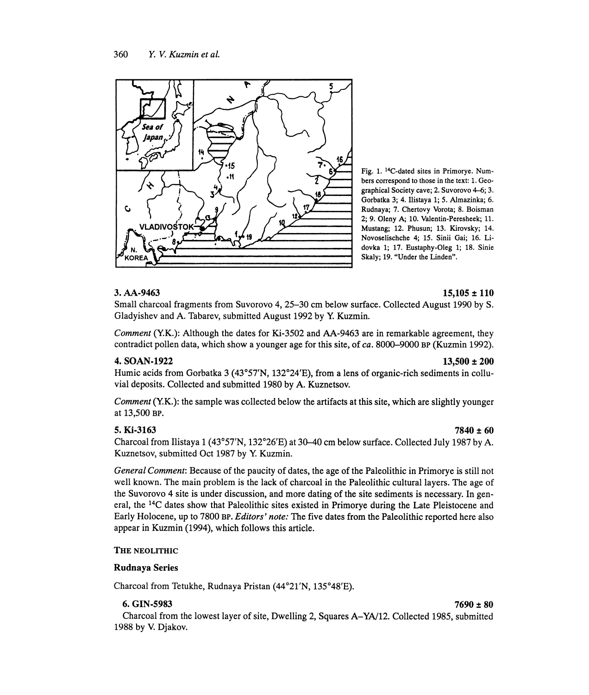

Fig. 1. 14C-dated sites in Primorye. Numbers correspond to those in the text: 1. Geographical Society cave; 2. Suvorovo 4-6; 3. Gorbatka 3; 4. Ilistaya 1; 5. Almazinka; 6. Rudnaya; 7. Chertovy Vorota; 8. Boisman 2; 9. Oleny A; 10. Valentin-Peresheek; 11. Mustang; 12. Phusun; 13. Kirovsky; 14. Novoselischche 4; 15. Sinii Gai; 16. Lidovka 1; 17. Eustaphy-Oleg 1; 18. Sinie Skaly;19. "Under the Linden".

### 3. AA-9463 15,105 ± 110

Small charcoal fragments from Suvorovo 4, 25-30 cm below surface. Collected August 1990 by S. Gladyishev and A. Tabarev, submitted August 1992 by Y. Kuzmin.

Comment (Y.K.): Although the dates for Ki-3502 and AA-9463 are in remarkable agreement, they contradict pollen data, which show a younger age for this site, of ca. 8000-9000 BP (Kuzmin 1992).

### 4. SOAN-1922 13,500 ± 200

Humic acids from Gorbatka 3 (43°57'N, 132°24'E), from a lens of organic-rich sediments in colluvial deposits. Collected and submitted 1980 by A. Kuznetsov.

Comment (Y.K.): the sample was collected below the artifacts at this site, which are slightly younger at 13,500 BP.

5. Ki-3163 7840 ± 60 Charcoal from Ilistaya 1 (43°57'N, 132°26'E) at 30-40 cm below surface. Collected July 1987 by A. Kuznetsov, submitted Oct 1987 by Y. Kuzmin.

General Comment: Because of the paucity of dates, the age of the Paleolithic in Primorye is still not well known. The main problem is the lack of charcoal in the Paleolithic cultural layers. The age of the Suvorovo 4 site is under discussion, and more dating of the site sediments is necessary. In general, the 14C dates show that Paleolithic sites existed in Primorye during the Late Pleistocene and Early Holocene, up to 7800 BP. Editors' note: The five dates from the Paleolithic reported here also appear in Kuzmin (1994), which follows this article.

### THE NEOLITHIC

### Rudnaya Series

Charcoal from Tetukhe, Rudnaya Pristan (44°21'N, 135°48'E).

### 6. GIN-5983 7690 ± 80

Charcoal from the lowest layer of site, Dwelling 2, Squares A-YA/12. Collected 1985, submitted 1988 by V. Djakov.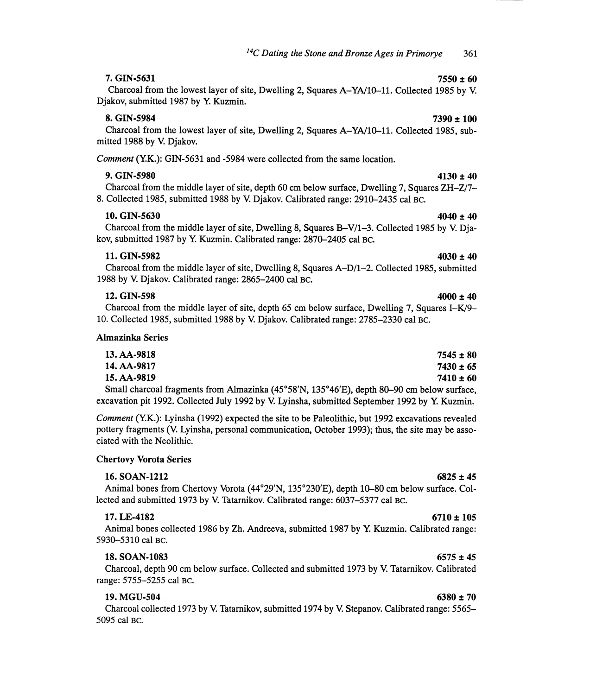7. GIN-5631 7550  $\pm 60$ Charcoal from the lowest layer of site, Dwelling 2, Squares A-YA/10-11. Collected 1985 by V. Djakov, submitted 1987 by Y. Kuzmin.

## $8. \text{ GIN}-5984$  7390  $\pm 100$

Charcoal from the lowest layer of site, Dwelling 2, Squares A-YA/10-11. Collected 1985, submitted 1988 by V. Djakov.

Comment (Y.K.): GIN-5631 and -5984 were collected from the same location.

# 9. GIN-5980 4130  $\pm 40$

Charcoal from the middle layer of site, depth 60 cm below surface, Dwelling 7, Squares ZH-Z17- 8. Collected 1985, submitted 1988 by V. Djakov. Calibrated range: 2910-2435 cal BC.

### 10. GIN-5630 4040 ± 40

Charcoal from the middle layer of site, Dwelling 8, Squares B-V/1-3. Collected 1985 by V. Djakov, submitted 1987 by Y. Kuzmin. Calibrated range: 2870-2405 cal BC.

11. GIN-5982  $4030 \pm 40$ Charcoal from the middle layer of site, Dwelling 8, Squares A-D/1-2. Collected 1985, submitted 1988 by V. Djakov. Calibrated range: 2865-2400 cal BC.

## 12. GIN-598 4000 ± 40

### Charcoal from the middle layer of site, depth 65 cm below surface, Dwelling 7, Squares I-K/9- 10. Collected 1985, submitted 1988 by V. Djakov. Calibrated range: 2785-2330 cal BC.

### Almazinka Series

| 13. AA-9818                                                                                                                                                                                                                       | $7545 \pm 80$ |
|-----------------------------------------------------------------------------------------------------------------------------------------------------------------------------------------------------------------------------------|---------------|
| 14. AA-9817                                                                                                                                                                                                                       | $7430 \pm 65$ |
| 15. AA-9819                                                                                                                                                                                                                       | $7410 \pm 60$ |
| $\alpha$ ii i is a set in the second and it is a second in the second in the second in the second in the second in the second in the second in the second in the second in the second in the second in the second in the second i |               |

Small charcoal fragments from Almazinka (45°58'N, 135°46'E), depth 80-90 cm below surface, excavation pit 1992. Collected July 1992 by V. Lyinsha, submitted September 1992 by Y. Kuzmin.

Comment (Y.K.): Lyinsha (1992) expected the site to be Paleolithic, but 1992 excavations revealed pottery fragments (V. Lyinsha, personal communication, October 1993); thus, the site may be associated with the Neolithic.

### Chertovy Vorota Series

### $16. SOAN-1212$  6825 ± 45

Animal bones from Chertovy Vorota (44°29'N, 135°230'E), depth 10-80 cm below surface. Collected and submitted 1973 by V. Tatarnikov. Calibrated range: 6037-5377 cal BC.

### 17. LE-4182 6710 ± 105

Animal bones collected 1986 by Zh. Andreeva, submitted 1987 by Y. Kuzmin. Calibrated range: 5930-5310 cal BC.

### 18. SOAN-1083 6575 ± 45

Charcoal, depth 90 cm below surface. Collected and submitted 1973 by V. Tatarnikov. Calibrated range: 5755-5255 cal BC.

### 19. MGU-504 6380 ± 70

Charcoal collected 1973 by V. Tatarnikov, submitted 1974 by V. Stepanov. Calibrated range: 5565- 5095 cal BC.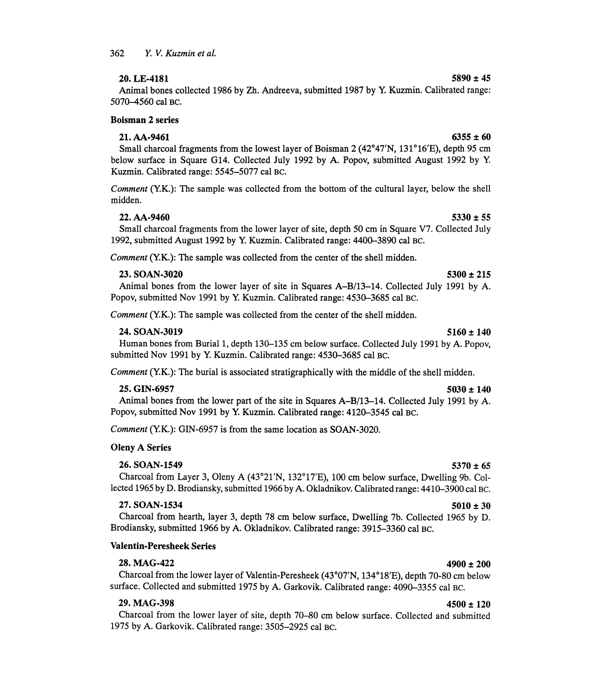## 20. LE-4181  $5890 \pm 45$

Animal bones collected 1986 by Zh. Andreeva, submitted 1987 by Y. Kuzmin. Calibrated range: 5070-4560 cal BC.

### Boisman 2 series

### $21. A A - 9461$  6355 ± 60

Small charcoal fragments from the lowest layer of Boisman 2 (42°47'N, 131°16'E), depth 95 cm below surface in Square G14. Collected July 1992 by A. Popov, submitted August 1992 by Y. Kuzmin. Calibrated range: 5545-5077 cal BC.

Comment (Y.K.): The sample was collected from the bottom of the cultural layer, below the shell midden.

22. AA-9460 5330 ± 55 Small charcoal fragments from the lower layer of site, depth 50 cm in Square V7. Collected July 1992, submitted August 1992 by Y. Kuzmin. Calibrated range: 4400-3890 cal BC.

Comment (Y.K.): The sample was collected from the center of the shell midden.

### $23.$  SOAN-3020 5300 ± 215

Animal bones from the lower layer of site in Squares A-B/13-14. Collected July 1991 by A. Popov, submitted Nov 1991 by Y. Kuzmin. Calibrated range: 4530-3685 cal BC.

Comment (Y.K.): The sample was collected from the center of the shell midden.

### $24. SOAN-3019$   $5160 \pm 140$

Human bones from Burial 1, depth 130-135 cm below surface. Collected July 1991 by A. Popov, submitted Nov 1991 by Y. Kuzmin. Calibrated range: 4530-3685 cal BC.

Comment (Y.K.): The burial is associated stratigraphically with the middle of the shell midden.

## 25. GIN-6957  $5030 \pm 140$

Animal bones from the lower part of the site in Squares A-B/13-14. Collected July 1991 by A. Popov, submitted Nov 1991 by Y. Kuzmin. Calibrated range: 4120-3545 cal BC.

Comment (Y.K.): GIN-6957 is from the same location as SOAN-3020.

### Oleny A Series

### 26. SOAN-1549  $5370 \pm 65$

Charcoal from Layer 3, Oleny A (43°21'N, 132°17'E), 100 cm below surface, Dwelling 9b. Collected 1965 by D. Brodiansky, submitted 1966 by A. Okladnikov. Calibrated range: 4410-3900 cal BC.

### 27. SOAN-1534  $5010 \pm 30$

Charcoal from hearth, layer 3, depth 78 cm below surface, Dwelling 7b. Collected 1965 by D. Brodiansky, submitted 1966 by A. Okladnikov. Calibrated range: 3915-3360 cal BC.

### Valentin-Peresheek Series

 $28. \text{MAG-422}$  4900 ± 200 Charcoal from the lower layer of Valentin-Peresheek (43°07'N, 134°18'E), depth 70-80 cm below surface. Collected and submitted 1975 by A. Garkovik. Calibrated range: 4090-3355 cal BC.

## 29. MAG-398  $4500 \pm 120$

Charcoal from the lower layer of site, depth 70–80 cm below surface. Collected and submitted 1975 by A. Garkovik. Calibrated range: 3505-2925 cal BC.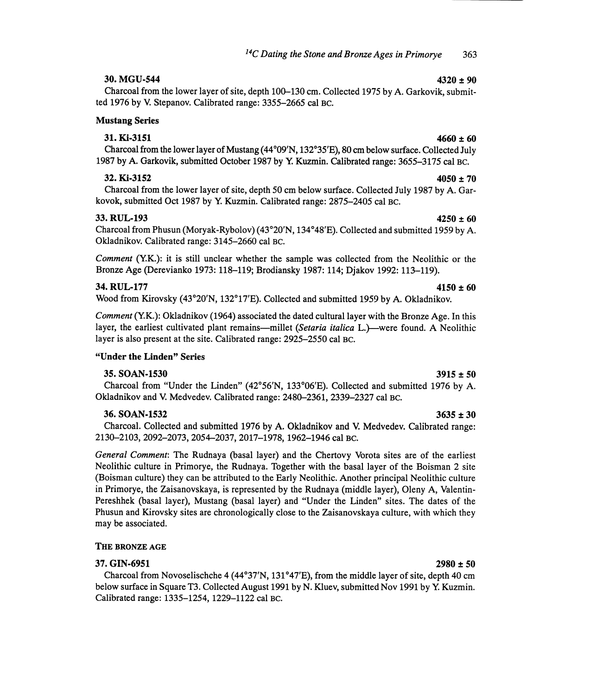## $30. \text{MGU-544}$   $4320 \pm 90$

Charcoal from the lower layer of site, depth 100-130 cm. Collected 1975 by A. Garkovik, submitted 1976 by V. Stepanov. Calibrated range: 3355-2665 cal BC.

### Mustang Series

## 31. Ki-3151  $4660 \pm 60$

Charcoal from the lower layer of Mustang (44°09'N, 132°35'E), 80 cm below surface. Collected July 1987 by A. Garkovik, submitted October 1987 by Y. Kuzmin. Calibrated range: 3655-3175 cal BC.

## $32.$  Ki-3152  $4050 \pm 70$

Charcoal from the lower layer of site, depth 50 cm below surface. Collected July 1987 by A. Garkovok, submitted Oct 1987 by Y. Kuzmin. Calibrated range: 2875-2405 cal BC.

## $33. \text{RUL-193}$  4250 ± 60

Charcoal from Phusun (Moryak-Rybolov) (43°20'N, 134°48'E). Collected and submitted 1959 by A. Okladnikov. Calibrated range: 3145-2660 cal BC.

Comment (YK.): it is still unclear whether the sample was collected from the Neolithic or the Bronze Age (Derevianko 1973: 118-119; Brodiansky 1987: 114; Djakov 1992: 113-119).

## $34. \text{RUL-177}$   $4150 \pm 60$

Wood from Kirovsky (43°20'N, 132°17'E). Collected and submitted 1959 by A. Okladnikov.

Comment (Y.K.): Okladnikov (1964) associated the dated cultural layer with the Bronze Age. In this layer, the earliest cultivated plant remains-millet (Setaria italica L.)-were found. A Neolithic layer is also present at the site. Calibrated range: 2925-2550 cal BC.

### "Under the Linden" Series

### 35. SOAN-1530 3915 ± 50

Charcoal from "Under the Linden" (42°56'N, 133°06'E). Collected and submitted 1976 by A. Okladnikov and V. Medvedev. Calibrated range: 2480-2361, 2339-2327 cal BC.

### $36.$  SOAN-1532  $3635 \pm 30$

Charcoal. Collected and submitted 1976 by A. Okladnikov and V. Medvedev. Calibrated range: 2130-2103, 2092-2073, 2054-2037, 2017-1978,1962-1946 cal BC.

General Comment: The Rudnaya (basal layer) and the Chertovy Vorota sites are of the earliest Neolithic culture in Primorye, the Rudnaya. Together with the basal layer of the Boisman 2 site (Boisman culture) they can be attributed to the Early Neolithic. Another principal Neolithic culture in Primorye, the Zaisanovskaya, is represented by the Rudnaya (middle layer), Oleny A, Valentin-Pereshhek (basal layer), Mustang (basal layer) and "Under the Linden" sites. The dates of the Phusun and Kirovsky sites are chronologically close to the Zaisanovskaya culture, with which they may be associated.

### THE BRONZE AGE

### $37. \text{ GIN} - 6951$   $2980 \pm 50$

Charcoal from Novoselischche 4 (44°37'N, 131°47'E), from the middle layer of site, depth 40 cm below surface in Square T3. Collected August 1991 by N. Kluev, submitted Nov 1991 by Y. Kuzmin. Calibrated range: 1335-1254, 1229-1122 cal BC.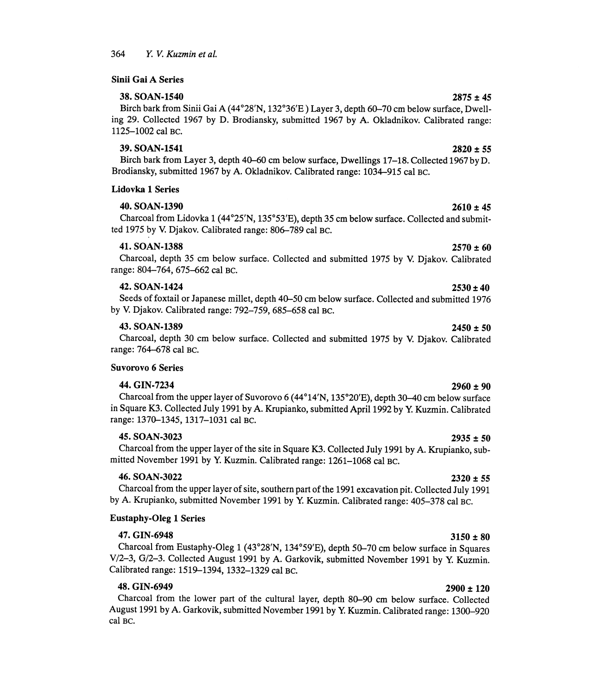Sinii Gai A Series

### $38. SOAN-1540$  2875 ± 45

## Birch bark from Sinii Gai A (44°28'N, 132°36'E) Layer 3, depth 60-70 cm below surface, Dwelling 29. Collected 1967 by D. Brodiansky, submitted 1967 by A. Okladnikov. Calibrated range: 1125-1002 cal BC.

### $39. SORM-1541$  2820  $\pm 55$

Birch bark from Layer 3, depth 40-60 cm below surface, Dwellings 17-18. Collected 1967 by D. Brodiansky, submitted 1967 by A. Okladnikov. Calibrated range: 1034-915 cal BC.

### Lidovka 1 Series

### 40. SOAN-1390 2610  $\pm 45$

Charcoal from Lidovka 1 (44°25'N, 135°53'E), depth 35 cm below surface. Collected and submitted 1975 by V. Djakov. Calibrated range: 806-789 cal BC.

### 41. SOAN-1388 2570 ± 60

Charcoal, depth 35 cm below surface. Collected and submitted 1975 by V. Djakov. Calibrated range: 804-764, 675-662 cal BC.

### 42. SOAN-1424 2530 ± 40

Seeds of foxtail or Japanese millet, depth 40-50 cm below surface. Collected and submitted 1976 by V. Djakov. Calibrated range: 792-759, 685-658 cal BC.

### 43. SOAN-1389 2450 ± 50

Charcoal, depth 30 cm below surface. Collected and submitted 1975 by V. Djakov. Calibrated range: 764-678 cal BC.

### Suvorovo 6 Series

## $44. \text{ GIN-7234}$  2960  $\pm$  90

Charcoal from the upper layer of Suvorovo 6 (44°14'N, 135°20'E), depth 30-40 cm below surface in Square K3. Collected July 1991 by A. Krupianko, submitted April 1992 by Y. Kuzmin. Calibrated range: 1370-1345, 1317-1031 cal BC.

 $45.$  SOAN-3023 2935  $\pm 50$ Charcoal from the upper layer of the site in Square K3. Collected July 1991 by A. Krupianko, submitted November 1991 by Y. Kuzmin. Calibrated range: 1261-1068 cal BC.

### 46. SOAN-3022 2320 ± 55

Charcoal from the upper layer of site, southern part of the 1991 excavation pit. Collected July 1991 by A. Krupianko, submitted November 1991 by Y. Kuzmin. Calibrated range: 405-378 cal BC.

## Eustaphy-Oleg 1 Series

47. GIN-6948  $3150 \pm 80$ Charcoal from Eustaphy-Oleg 1 (43°28'N, 134°59'E), depth 50-70 cm below surface in Squares V/2-3, G/2-3. Collected August 1991 by A. Garkovik, submitted November 1991 by Y. Kuzmin. Calibrated range: 1519-1394, 1332-1329 cal BC.

 $48. \text{ GIN}$ -6949 2900 ± 120 Charcoal from the lower part of the cultural layer, depth 80-90 cm below surface. Collected August 1991 by A. Garkovik, submitted November 1991 by Y. Kuzmin. Calibrated range: 1300-920 cal BC.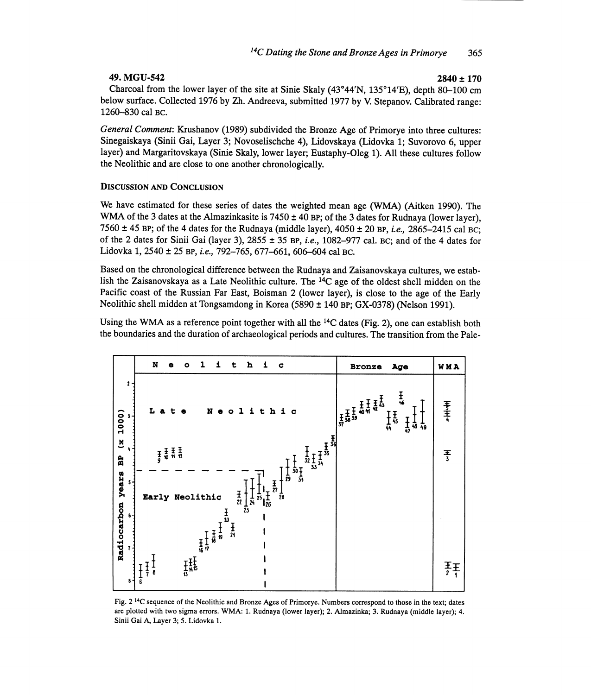## $49. \text{MGU-542}$  2840 ± 170

Charcoal from the lower layer of the site at Sinie Skaly (43°44'N, 135°14'E), depth 80-100 cm below surface. Collected 1976 by Zh. Andreeva, submitted 1977 by V. Stepanov. Calibrated range: 1260-830 cal BC.

General Comment: Krushanov (1989) subdivided the Bronze Age of Primorye into three cultures: Sinegaiskaya (Sinii Gai, Layer 3; Novoselischche 4), Lidovskaya (Lidovka 1; Suvorovo 6, upper layer) and Margaritovskaya (Sinie Skaly, lower layer; Eustaphy-Oleg 1). All these cultures follow the Neolithic and are close to one another chronologically.

### DISCUSSION AND CONCLUSION

We have estimated for these series of dates the weighted mean age (WMA) (Aitken 1990). The WMA of the 3 dates at the Almazinkasite is  $7450 \pm 40$  BP; of the 3 dates for Rudnaya (lower layer), 7560  $\pm$  45 BP; of the 4 dates for the Rudnaya (middle layer), 4050  $\pm$  20 BP, *i.e.*, 2865–2415 cal BC; of the 2 dates for Sinii Gai (layer 3),  $2855 \pm 35$  BP, *i.e.*, 1082–977 cal. BC; and of the 4 dates for Lidovka 1, 2540 ± 25 BP, i.e., 792-765, 677-661, 606-604 cal BC.

Based on the chronological difference between the Rudnaya and Zaisanovskaya cultures, we establish the Zaisanovskaya as a Late Neolithic culture. The 14C age of the oldest shell midden on the Pacific coast of the Russian Far East, Boisman 2 (lower layer), is close to the age of the Early Neolithic shell midden at Tongsamdong in Korea (5890 ± 140 BP; GX-0378) (Nelson 1991).

Using the WMA as a reference point together with all the <sup>14</sup>C dates (Fig. 2), one can establish both the boundaries and the duration of archaeological periods and cultures. The transition from the Pale-



Fig. 2<sup>14</sup>C sequence of the Neolithic and Bronze Ages of Primorye. Numbers correspond to those in the text; dates are plotted with two sigma errors. WMA: 1. Rudnaya (lower layer); 2. Almazinka; 3. Rudnaya (middle layer); 4 Sinii Gai A, Layer 3; 5. Lidovka 1.